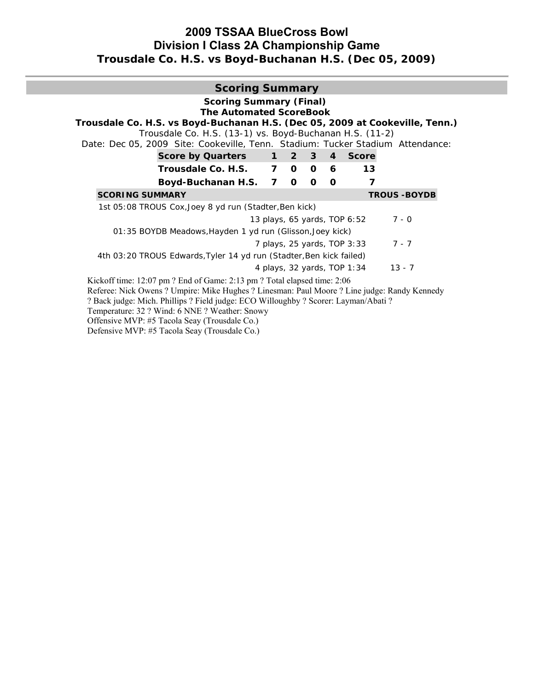# **2009 TSSAA BlueCross Bowl Division I Class 2A Championship Game Trousdale Co. H.S. vs Boyd-Buchanan H.S. (Dec 05, 2009)**

# **Scoring Summary Scoring Summary (Final) The Automated ScoreBook Trousdale Co. H.S. vs Boyd-Buchanan H.S. (Dec 05, 2009 at Cookeville, Tenn.)**  Trousdale Co. H.S. (13-1) vs. Boyd-Buchanan H.S. (11-2) Date: Dec 05, 2009 Site: Cookeville, Tenn. Stadium: Tucker Stadium Attendance: **Score by Quarters 1 2 3 4 Score Trousdale Co. H.S. 7 0 0 6 13 Boyd-Buchanan H.S. 7 0 0 0 7 SCORING SUMMARY TROUS -BOYDB** 1st 05:08 TROUS Cox, Joey 8 yd run (Stadter, Ben kick) *13 plays, 65 yards, TOP 6:52* 7 - 0 01:35 BOYDB Meadows,Hayden 1 yd run (Glisson,Joey kick) *7 plays, 25 yards, TOP 3:33* 7 - 7 4th 03:20 TROUS Edwards,Tyler 14 yd run (Stadter,Ben kick failed) *4 plays, 32 yards, TOP 1:34* 13 - 7 Kickoff time: 12:07 pm ? End of Game: 2:13 pm ? Total elapsed time: 2:06 Referee: Nick Owens ? Umpire: Mike Hughes ? Linesman: Paul Moore ? Line judge: Randy Kennedy ? Back judge: Mich. Phillips ? Field judge: ECO Willoughby ? Scorer: Layman/Abati ? Temperature: 32 ? Wind: 6 NNE ? Weather: Snowy Offensive MVP: #5 Tacola Seay (Trousdale Co.)

Defensive MVP: #5 Tacola Seay (Trousdale Co.)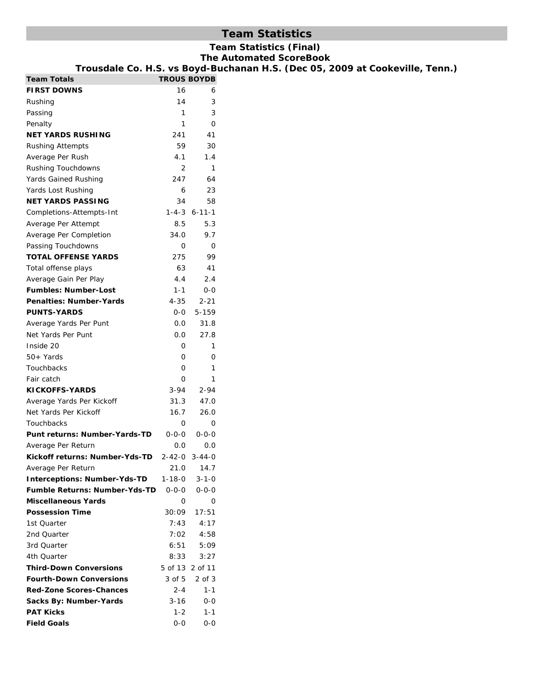# **Team Statistics**

# **Team Statistics (Final)**

**The Automated ScoreBook** 

| Trousdale Co. H.S. vs Boyd-Buchanan H.S. (Dec 05, 2009 at Cookeville, Tenn.) |                    |                        |  |  |
|------------------------------------------------------------------------------|--------------------|------------------------|--|--|
| <b>Team Totals</b>                                                           | <b>TROUS BOYDB</b> |                        |  |  |
| <b>FIRST DOWNS</b>                                                           | 16                 | 6                      |  |  |
| Rushing                                                                      | 14                 | 3                      |  |  |
| Passing                                                                      | 1                  | 3                      |  |  |
| Penalty                                                                      | $\mathbf{1}$       | $\mathsf{O}$           |  |  |
| <b>NET YARDS RUSHING</b>                                                     | 241                | 41                     |  |  |
| <b>Rushing Attempts</b>                                                      | 59                 | 30                     |  |  |
| Average Per Rush                                                             | 4.1                | 1.4                    |  |  |
| Rushing Touchdowns                                                           | $\overline{2}$     | $\mathbf{1}$           |  |  |
| Yards Gained Rushing                                                         | 247                | 64                     |  |  |
| Yards Lost Rushing                                                           | 6                  | 23                     |  |  |
| <b>NET YARDS PASSING</b>                                                     | 34                 | 58                     |  |  |
| Completions-Attempts-Int                                                     |                    | $1 - 4 - 3 6 - 11 - 1$ |  |  |
| Average Per Attempt                                                          | 8.5                | 5.3                    |  |  |
| Average Per Completion                                                       | 34.0               | 9.7                    |  |  |
| Passing Touchdowns                                                           | 0                  | $\mathbf 0$            |  |  |
| <b>TOTAL OFFENSE YARDS</b>                                                   | 275                | 99                     |  |  |
| Total offense plays                                                          | 63                 | 41                     |  |  |
| Average Gain Per Play                                                        | 4.4                | 2.4                    |  |  |
| <b>Fumbles: Number-Lost</b>                                                  | $1 - 1$            | $0-0$                  |  |  |
| Penalties: Number-Yards                                                      | $4 - 35$           | $2 - 21$               |  |  |
| <b>PUNTS-YARDS</b>                                                           | $0-0$              | 5-159                  |  |  |
| Average Yards Per Punt                                                       | 0.0                | 31.8                   |  |  |
| Net Yards Per Punt                                                           | 0.0                | 27.8                   |  |  |
| Inside 20                                                                    | 0                  | $\mathbf{1}$           |  |  |
| 50+ Yards                                                                    | 0                  | 0                      |  |  |
| Touchbacks                                                                   | 0                  | $\mathbf{1}$           |  |  |
| Fair catch                                                                   | 0                  | $\mathbf{1}$           |  |  |
| <b>KICKOFFS-YARDS</b>                                                        | $3 - 94$           | $2 - 94$               |  |  |
| Average Yards Per Kickoff                                                    | 31.3               | 47.0                   |  |  |
| Net Yards Per Kickoff                                                        | 16.7               | 26.0                   |  |  |
| Touchbacks                                                                   | 0                  | 0                      |  |  |
| Punt returns: Number-Yards-TD                                                | $0 - 0 - 0$        | $0 - 0 - 0$            |  |  |
| Average Per Return                                                           | 0.0                | 0.0                    |  |  |
| Kickoff returns: Number-Yds-TD                                               |                    | 2-42-0 3-44-0          |  |  |
| Average Per Return                                                           | 21.0               | 14.7                   |  |  |
| <b>Interceptions: Number-Yds-TD</b>                                          | $1 - 18 - 0$       | $3 - 1 - 0$            |  |  |
| <b>Fumble Returns: Number-Yds-TD</b>                                         | $0 - 0 - 0$        | $0 - 0 - 0$            |  |  |
| <b>Miscellaneous Yards</b>                                                   | 0                  | 0                      |  |  |
| <b>Possession Time</b>                                                       | 30:09              | 17:51                  |  |  |
| 1st Quarter                                                                  | 7:43               | 4:17                   |  |  |
| 2nd Quarter                                                                  | 7:02               | 4:58                   |  |  |
| 3rd Quarter                                                                  | 6:51               | 5:09                   |  |  |
| 4th Quarter                                                                  | 8:33               | 3:27                   |  |  |
| <b>Third-Down Conversions</b>                                                |                    | 5 of 13 2 of 11        |  |  |
| <b>Fourth-Down Conversions</b>                                               | 3 of 5             | $2$ of $3$             |  |  |
| <b>Red-Zone Scores-Chances</b>                                               | $2 - 4$            | $1 - 1$                |  |  |
| Sacks By: Number-Yards                                                       | $3 - 16$           | $0-0$                  |  |  |
| <b>PAT Kicks</b>                                                             | $1 - 2$            | $1 - 1$                |  |  |
| <b>Field Goals</b>                                                           | $0-0$              | $0-0$                  |  |  |
|                                                                              |                    |                        |  |  |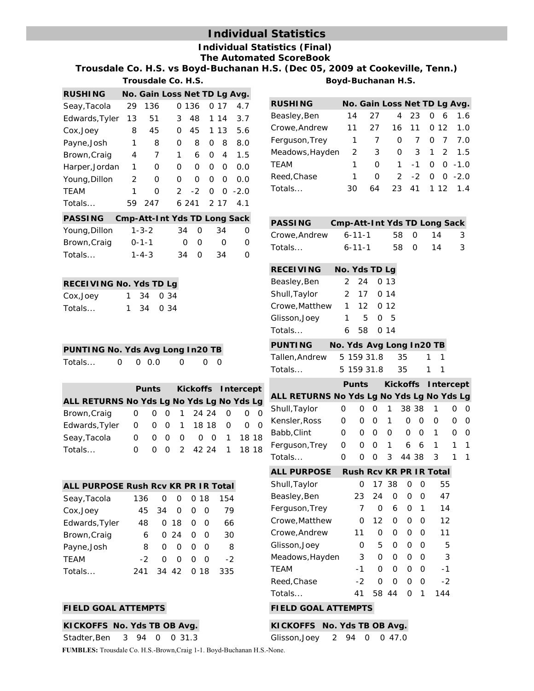# **Individual Statistics**

#### **Individual Statistics (Final) The Automated ScoreBook**

**Trousdale Co. H.S. vs Boyd-Buchanan H.S. (Dec 05, 2009 at Cookeville, Tenn.)**

|                 |    | Trousdale Co. H.S.           |               |       |   |          |        |
|-----------------|----|------------------------------|---------------|-------|---|----------|--------|
| <b>RUSHING</b>  |    | No. Gain Loss Net TD Lg Avg. |               |       |   |          |        |
| Seay, Tacola    | 29 | 136                          |               | 0 136 |   | O 17     | 4.7    |
| Edwards, Tyler  | 13 | 51                           | 3             | 48    |   | 1 14     | 3.7    |
| Cox, Joey       | 8  | 45                           | O             | 45    |   | 1 13     | 5.6    |
| Payne, Josh     | 1  | 8                            | 0             | 8     | O | 8        | 8.0    |
| Brown, Craig    | 4  | 7                            | 1             | 6     | 0 | 4        | 1.5    |
| Harper, Jordan  | 1  | O                            | 0             | 0     | 0 | 0        | 0.O    |
| Young, Dillon   | 2  | O                            | 0             | O     | Ω | 0        | 0.O    |
| <b>TEAM</b>     | 1  | O                            | $\mathcal{P}$ | $-2$  | O | $\Omega$ | $-2.0$ |
| Totals          | 59 | 247                          |               | 6.241 |   | 2 1 7    | 4.1    |
| <b>DACCINIC</b> |    | Cmn Att Int Vdc TD Long Sook |               |       |   |          |        |

|               | PASSING CMP-Att-Int YOS ID LONG SACK |    |           |                  |              |
|---------------|--------------------------------------|----|-----------|------------------|--------------|
| Young, Dillon | $1 - 3 - 2$                          |    | 34 O      | -34              | O            |
| Brown, Craig  | $0 - 1 - 1$                          |    | റ റ       | $\left( \right)$ | $\Omega$     |
| Totals        | $1 - 4 - 3$                          | 34 | <u>__</u> | .34              | $\mathbf{O}$ |

| <b>RECEIVING No. Yds TD Lg</b> |  |           |
|--------------------------------|--|-----------|
| Cox, Joey                      |  | 1 34 0 34 |
| Totals                         |  | 1 34 0 34 |

| Totals | $0 \t 0 \t 0.0$ | $\overline{0}$ 0 |  |
|--------|-----------------|------------------|--|
|        |                 |                  |  |

|                                           |  |          |  |  |  | Punts Kickoffs Intercept |  |                   |  |
|-------------------------------------------|--|----------|--|--|--|--------------------------|--|-------------------|--|
| ALL RETURNS No Yds Lg No Yds Lg No Yds Lg |  |          |  |  |  |                          |  |                   |  |
| Brown, Craig 0 0 0 1 24 24 0 0 0          |  |          |  |  |  |                          |  |                   |  |
| Edwards, Tyler 0 0 0 1 18 18 0 0 0        |  |          |  |  |  |                          |  |                   |  |
| Seay, Tacola                              |  | $\Omega$ |  |  |  |                          |  | 0 0 0 0 0 1 18 18 |  |
| Totals                                    |  |          |  |  |  |                          |  | 0 2 42 24 1 18 18 |  |

| ALL PURPOSE Rush Rcv KR PR IR Total |     |    |          |          |      |     |
|-------------------------------------|-----|----|----------|----------|------|-----|
| Seay, Tacola                        | 136 | O  | O        |          | 0 18 | 154 |
| Cox, Joey                           | 45  | 34 | $\Omega$ | O        | - റ  | 79  |
| Edwards, Tyler                      | 48  |    | 018      | O        | ∩    | 66  |
| Brown, Craig                        | 6.  |    | O 24     | $\Omega$ | - റ  | 30  |
| Payne, Josh                         | 8   | O  | ∩        | O        | - 0  | 8   |
| <b>TEAM</b>                         | -2  | O  | O        | O        | O    | -2  |
| Totals                              | 241 |    | 34 42    |          | 0 18 | 335 |

#### **FIELD GOAL ATTEMPTS FIELD GOAL ATTEMPTS**

#### **KICKOFFS No. Yds TB OB Avg.**

Stadter,Ben 3 94 0 0 31.3

**FUMBLES:** Trousdale Co. H.S.-Brown,Craig 1-1. Boyd-Buchanan H.S.-None.

| Boyd-Buchanan H.S. |
|--------------------|
|--------------------|

| <b>RUSHING</b>  |              |          |          |                 |          | No. Gain Loss Net TD Lg Avg. |
|-----------------|--------------|----------|----------|-----------------|----------|------------------------------|
| Beasley, Ben    | 14           | 27       |          | 4 23            |          | 0, 6, 1.6                    |
| Crowe, Andrew   | 11           | 27       |          | 16 11           |          | 0, 12, 1.0                   |
| Ferguson, Trey  |              | 1 7      | 0        | $7\overline{ }$ | $\Omega$ | 77.0                         |
| Meadows, Hayden | 2            | 3        | $\Omega$ |                 |          | 3 1 2 1.5                    |
| TEAM            | $\mathbf{1}$ | $\Omega$ |          |                 |          | $1 -1 0 0 -1.0$              |
| Reed, Chase     | $\mathbf{1}$ | 0        |          |                 |          | $2 -2 0 0 -2.0$              |
| Totals          | 30.          | 64       |          |                 |          | 23 41 1 12 1.4               |

| <b>PASSING</b> | Cmp-Att-Int Yds TD Long Sack |      |    |     |
|----------------|------------------------------|------|----|-----|
| Crowe, Andrew  | 6-11-1                       | 58 O | 14 | - 3 |
| Totals         | $6 - 11 - 1$                 | 58 O | 14 | -3  |

| <b>RECEIVING</b> | No. Yds TD Lg |
|------------------|---------------|
|------------------|---------------|

| Beasley, Ben   |   | 2, 24, 0, 13 |  |
|----------------|---|--------------|--|
| Shull, Taylor  |   | 2 17 0 14    |  |
| Crowe, Matthew |   | 1 12 0 12    |  |
| Glisson, Joey  | 1 | 5 0 5        |  |
| Totals         |   | 6 58 0 14    |  |
|                |   |              |  |

| PUNTING       |  | No. Yds Avg Long In20 TB |     |
|---------------|--|--------------------------|-----|
| Tallen.Andrew |  | 5 159 31.8 35            | 1 1 |
| Totals…       |  | 5 159 31.8 35            | 1 1 |

|                                           |          |  |                   | Punts Kickoffs Intercept       |       |                   |        |             |
|-------------------------------------------|----------|--|-------------------|--------------------------------|-------|-------------------|--------|-------------|
| ALL RETURNS No Yds Lg No Yds Lg No Yds Lg |          |  |                   |                                |       |                   |        |             |
| Shull, Taylor                             | 0        |  |                   | 0 0 1 38 38 1                  |       |                   |        | - 0         |
| Kensler,Ross                              | $\Omega$ |  | 0 0 1             |                                |       | $0\quad 0\quad 0$ |        | n n         |
| Babb,Clint                                | $\Omega$ |  | $0\quad 0\quad 0$ |                                | 0 0 1 |                   | O.     | - 0         |
| Ferguson, Trey                            | 0        |  |                   | 0 0 1 6 6 1                    |       |                   | $-1$ 1 |             |
| Totals…                                   | O.       |  |                   | 0 0 3 44 38 3                  |       |                   |        | $1 \quad 1$ |
| ALL PURPOSE                               |          |  |                   | <b>Rush Rcv KR PR IR Total</b> |       |                   |        |             |

| Shull, Taylor   | O  |     | 1738 | O | Ω | 55                |
|-----------------|----|-----|------|---|---|-------------------|
| Beasley, Ben    | 23 | 24  | Ω    | O | O | 47                |
| Ferguson, Trey  |    | O   | 6    | O | 1 | 14                |
| Crowe, Matthew  | Ω  | 12  | O    | ი | O | $12 \overline{ }$ |
| Crowe, Andrew   | 11 | Ω   | O    | O | Ω | 11                |
| Glisson, Joey   | Ω  | 5   | O    | O | O | 5                 |
| Meadows, Hayden | 3  | Ω   | O    | O | O | 3                 |
| <b>TEAM</b>     | -1 | O   | O    | ი | O | -1                |
| Reed, Chase     | -2 | Ω   | Ω    | O | O | $-2$              |
| Totals          | 41 | 58. | 44   | Ω | 1 | 144               |
|                 |    |     |      |   |   |                   |

| KICKOFFS No. Yds TB OB Avg. |  |  |  |  |  |
|-----------------------------|--|--|--|--|--|
|-----------------------------|--|--|--|--|--|

|  | Glisson, Joey |  |  |  |  | 2 94 0 0 47.0 |
|--|---------------|--|--|--|--|---------------|
|--|---------------|--|--|--|--|---------------|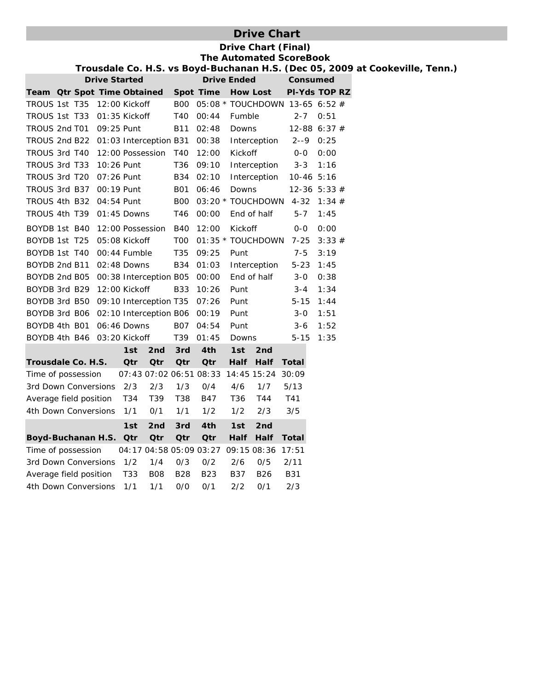# **Drive Chart**

|                                            |                      |     |                         |                |                         |                    | <b>Drive Chart (Final)</b><br><b>The Automated ScoreBook</b>                 |                      |       |  |  |  |
|--------------------------------------------|----------------------|-----|-------------------------|----------------|-------------------------|--------------------|------------------------------------------------------------------------------|----------------------|-------|--|--|--|
|                                            |                      |     |                         |                |                         |                    | Trousdale Co. H.S. vs Boyd-Buchanan H.S. (Dec 05, 2009 at Cookeville, Tenn.) |                      |       |  |  |  |
|                                            | <b>Drive Started</b> |     |                         |                |                         | <b>Drive Ended</b> |                                                                              | Consumed             |       |  |  |  |
| Team Otr Spot Time Obtained                |                      |     |                         |                | Spot Time               |                    | <b>How Lost</b>                                                              | <b>PI-Yds TOP RZ</b> |       |  |  |  |
| TROUS 1st T35                              | 12:00 Kickoff        |     |                         |                |                         |                    | B00 05:08 * TOUCHDOWN 13-65 6:52 #                                           |                      |       |  |  |  |
| TROUS 1st T33                              | 01:35 Kickoff        |     |                         | T40            | 00:44                   | Fumble             |                                                                              | $2 - 7$              | 0:51  |  |  |  |
| TROUS 2nd T01                              | 09:25 Punt           |     |                         | <b>B11</b>     | 02:48                   | Downs              |                                                                              | $12 - 88$ 6:37 #     |       |  |  |  |
| TROUS 2nd B22 01:03 Interception B31       |                      |     |                         |                | 00:38                   |                    | Interception                                                                 | $2 - -9$ 0:25        |       |  |  |  |
| TROUS 3rd T40                              | 12:00 Possession     |     |                         | T40            | 12:00                   | Kickoff            |                                                                              | $0-0$                | 0:00  |  |  |  |
| TROUS 3rd T33                              | 10:26 Punt           |     |                         | T36            | 09:10                   |                    | Interception                                                                 | $3 - 3$              | 1:16  |  |  |  |
| TROUS 3rd T20                              | 07:26 Punt           |     |                         |                | B34 02:10               |                    | Interception                                                                 | 10-46 5:16           |       |  |  |  |
| TROUS 3rd B37                              | 00:19 Punt           |     |                         | <b>B01</b>     | 06:46                   | Downs              |                                                                              | $12 - 36$ 5:33 #     |       |  |  |  |
| TROUS 4th B32 04:54 Punt                   |                      |     |                         | B <sub>0</sub> |                         |                    | 03:20 * TOUCHDOWN                                                            | 4-32 $1:34 \#$       |       |  |  |  |
| TROUS 4th T39                              | 01:45 Downs          |     |                         | T46            | 00:00                   |                    | End of half                                                                  | $5 - 7$              | 1:45  |  |  |  |
| BOYDB 1st B40                              | 12:00 Possession     |     |                         | <b>B40</b>     | 12:00                   | Kickoff            |                                                                              | $0-0$                | 0:00  |  |  |  |
| BOYDB 1st T25                              | 05:08 Kickoff        |     |                         | T <sub>0</sub> |                         |                    | 01:35 * TOUCHDOWN                                                            | $7 - 25$             | 3:33# |  |  |  |
| BOYDB 1st T40                              | 00:44 Fumble         |     |                         | T35            | 09:25                   | Punt               |                                                                              | $7 - 5$              | 3:19  |  |  |  |
| BOYDB 2nd B11                              | 02:48 Downs          |     |                         |                | B34 01:03               |                    | Interception                                                                 | $5 - 23$             | 1:45  |  |  |  |
| BOYDB 2nd B05 00:38 Interception B05       |                      |     |                         |                | 00:00                   |                    | End of half                                                                  | $3 - 0$              | 0:38  |  |  |  |
| BOYDB 3rd B29 12:00 Kickoff                |                      |     |                         | <b>B33</b>     | 10:26                   | Punt               |                                                                              | $3 - 4$              | 1:34  |  |  |  |
| BOYDB 3rd B50 09:10 Interception T35       |                      |     |                         |                | 07:26                   | Punt               |                                                                              | $5 - 15$             | 1:44  |  |  |  |
| BOYDB 3rd B06 02:10 Interception B06 00:19 |                      |     |                         |                |                         | Punt               |                                                                              | $3 - 0$              | 1:51  |  |  |  |
| BOYDB 4th B01 06:46 Downs                  |                      |     |                         |                | B07 04:54               | Punt               |                                                                              | $3 - 6$              | 1:52  |  |  |  |
| BOYDB 4th B46 03:20 Kickoff                |                      |     |                         | T39            | 01:45                   | Downs              |                                                                              | $5 - 15$             | 1:35  |  |  |  |
|                                            |                      | 1st | 2 <sub>nd</sub>         | 3rd            | 4th                     | 1st                | 2 <sub>nd</sub>                                                              |                      |       |  |  |  |
| Trousdale Co. H.S.                         |                      | Qtr | <b>Qtr</b>              | Qtr            | Qtr                     | <b>Half</b>        | Half                                                                         | Total                |       |  |  |  |
| Time of possession                         |                      |     | 07:43 07:02 06:51 08:33 |                |                         |                    | 14:45 15:24 30:09                                                            |                      |       |  |  |  |
| 3rd Down Conversions                       |                      | 2/3 | 2/3                     | 1/3            | 0/4                     | 4/6                | 1/7                                                                          | 5/13                 |       |  |  |  |
| Average field position                     |                      | T34 | T39                     | T38            | B47                     | T36                | T44                                                                          | T41                  |       |  |  |  |
| 4th Down Conversions                       |                      | 1/1 | 0/1                     | 1/1            | 1/2                     | 1/2                | 2/3                                                                          | 3/5                  |       |  |  |  |
|                                            |                      | 1st | 2 <sub>nd</sub>         | 3rd            | 4th                     | 1st                | 2 <sub>nd</sub>                                                              |                      |       |  |  |  |
| Boyd-Buchanan H.S. Otr                     |                      |     | Qtr                     | Qtr            | Qtr                     | Half               | Half                                                                         | Total                |       |  |  |  |
| Time of possession                         |                      |     |                         |                | 04:17 04:58 05:09 03:27 |                    | 09:15 08:36                                                                  | 17:51                |       |  |  |  |
| 3rd Down Conversions                       |                      | 1/2 | 1/4                     | 0/3            | 0/2                     | 2/6                | 0/5                                                                          | 2/11                 |       |  |  |  |
| Average field position                     |                      | T33 | <b>B08</b>              | <b>B28</b>     | B <sub>23</sub>         | B37                | <b>B26</b>                                                                   | <b>B31</b>           |       |  |  |  |
| 4th Down Conversions                       |                      | 1/1 | 1/1                     | 0/0            | 0/1                     | 2/2                | 0/1                                                                          | 2/3                  |       |  |  |  |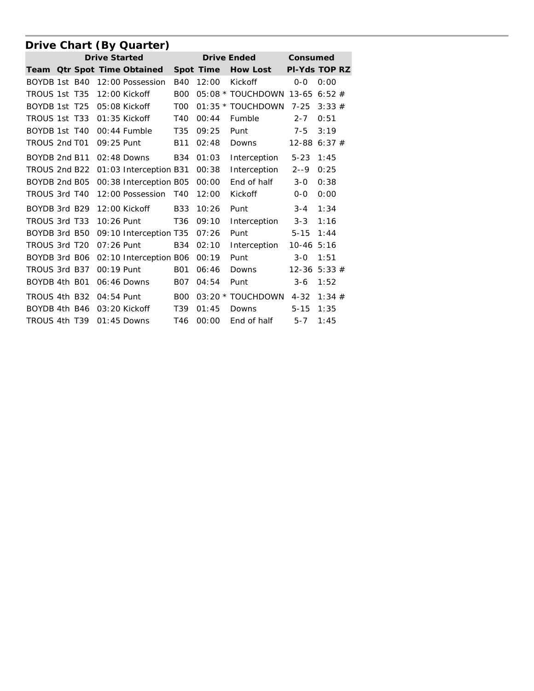|               |  |                      | Drive Chart (By Quarter)    |                 |           |                         |                  |       |  |
|---------------|--|----------------------|-----------------------------|-----------------|-----------|-------------------------|------------------|-------|--|
|               |  | <b>Drive Started</b> |                             |                 |           | <b>Drive Ended</b>      | Consumed         |       |  |
|               |  |                      | Team Otr Spot Time Obtained |                 | Spot Time | <b>How Lost</b>         | PI-Yds TOP RZ    |       |  |
| BOYDB 1st B40 |  |                      | 12:00 Possession            | <b>B40</b>      | 12:00     | Kickoff                 | $0 - 0$          | 0:00  |  |
| TROUS 1st T35 |  |                      | 12:00 Kickoff               | <b>B00</b>      |           | 05:08 * TOUCHDOWN 13-65 |                  | 6:52# |  |
| BOYDB 1st T25 |  |                      | 05:08 Kickoff               | T <sub>00</sub> |           | 01:35 * TOUCHDOWN       | $7 - 25$         | 3:33# |  |
| TROUS 1st T33 |  |                      | $01:35$ Kickoff             | T <sub>40</sub> | 00:44     | Fumble                  | $2 - 7$          | 0:51  |  |
| BOYDB 1st T40 |  |                      | $00:44$ Fumble              | T <sub>35</sub> | 09:25     | Punt                    | $7 - 5$          | 3:19  |  |
| TROUS 2nd T01 |  | 09:25 Punt           |                             | <b>B11</b>      | 02:48     | Downs                   | 12-88            | 6:37# |  |
| BOYDB 2nd B11 |  |                      | $02:48$ Downs               | <b>B34</b>      | 01:03     | Interception            | $5 - 23$         | 1:45  |  |
| TROUS 2nd B22 |  |                      | 01:03 Interception B31      |                 | 00:38     | Interception            | $2 - -9$         | 0:25  |  |
| BOYDB 2nd B05 |  |                      | 00:38 Interception B05      |                 | 00:00     | End of half             | $3 - 0$          | 0:38  |  |
| TROUS 3rd T40 |  |                      | 12:00 Possession            | T40             | 12:00     | Kickoff                 | $O-O$            | 0:00  |  |
| BOYDB 3rd B29 |  |                      | $12:00$ Kickoff             | <b>B33</b>      | 10:26     | Punt                    | $3 - 4$          | 1:34  |  |
| TROUS 3rd T33 |  | 10:26 Punt           |                             | T <sub>36</sub> | 09:10     | Interception            | $3 - 3$          | 1:16  |  |
| BOYDB 3rd B50 |  |                      | 09:10 Interception T35      |                 | 07:26     | Punt                    | $5 - 15$         | 1:44  |  |
| TROUS 3rd T20 |  | $07:26$ Punt         |                             | <b>B34</b>      | 02:10     | Interception            | $10-46$ 5:16     |       |  |
| BOYDB 3rd B06 |  |                      | 02:10 Interception B06      |                 | 00:19     | Punt                    | $3 - 0$          | 1:51  |  |
| TROUS 3rd B37 |  | 00:19 Punt           |                             | <b>B01</b>      | 06:46     | Downs                   | $12 - 36$ 5:33 # |       |  |
| BOYDB 4th B01 |  |                      | 06:46 Downs                 | <b>B07</b>      | 04:54     | Punt                    | $3-6$            | 1:52  |  |
| TROUS 4th B32 |  | 04:54 Punt           |                             | <b>BOO</b>      |           | 03:20 * TOUCHDOWN       | $4 - 32$         | 1:34# |  |
| BOYDB 4th B46 |  |                      | $03:20$ Kickoff             | T <sub>39</sub> | 01:45     | Downs                   | $5 - 15$         | 1:35  |  |
| TROUS 4th T39 |  |                      | $01:45$ Downs               | T46             | 00:00     | End of half             | $5 - 7$          | 1:45  |  |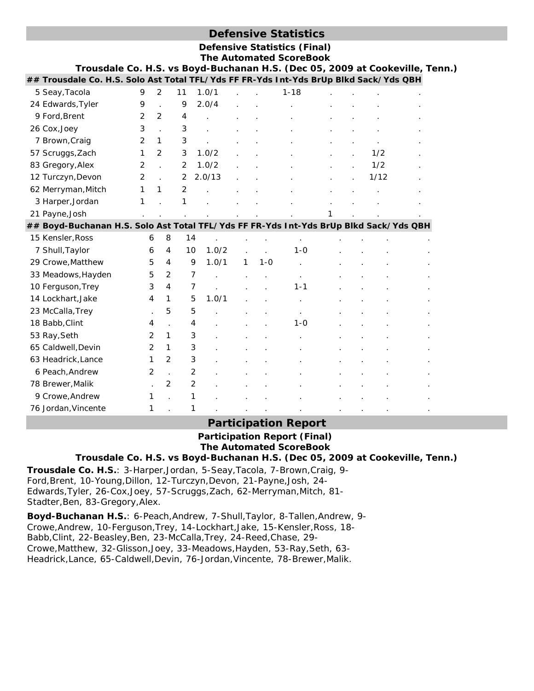# **Defensive Statistics**

| <b>Defensive Statistics (Final)</b> |  |
|-------------------------------------|--|
| The Automated ScoreBook             |  |

| Trousdale Co. H.S. vs Boyd-Buchanan H.S. (Dec 05, 2009 at Cookeville, Tenn.)          |   |                |                |        |   |         | е дититател эсогербок |  |      |  |
|---------------------------------------------------------------------------------------|---|----------------|----------------|--------|---|---------|-----------------------|--|------|--|
| ## Trousdale Co. H.S. Solo Ast Total TFL/Yds FF FR-Yds Int-Yds BrUp Blkd Sack/Yds QBH |   |                |                |        |   |         |                       |  |      |  |
| 5 Seay, Tacola                                                                        | 9 | $\overline{2}$ | 11             | 1.0/1  |   |         | $1 - 18$              |  |      |  |
| 24 Edwards, Tyler                                                                     | 9 |                | 9              | 2.0/4  |   |         |                       |  |      |  |
| 9 Ford, Brent                                                                         | 2 | 2              | 4              |        |   |         |                       |  |      |  |
| 26 Cox, Joey                                                                          | 3 |                | 3              |        |   |         |                       |  |      |  |
| 7 Brown, Craig                                                                        | 2 | 1              | 3              |        |   |         |                       |  |      |  |
| 57 Scruggs, Zach                                                                      | 1 | 2              | 3              | 1.0/2  |   |         |                       |  | 1/2  |  |
| 83 Gregory, Alex                                                                      | 2 |                | 2              | 1.0/2  |   |         |                       |  | 1/2  |  |
| 12 Turczyn, Devon                                                                     | 2 |                | 2              | 2.0/13 |   |         |                       |  | 1/12 |  |
| 62 Merryman, Mitch                                                                    | 1 | 1              | 2              |        |   |         |                       |  |      |  |
| 3 Harper, Jordan                                                                      | 1 |                | 1              |        |   |         |                       |  |      |  |
| 21 Payne, Josh                                                                        |   |                |                |        |   |         |                       |  |      |  |
| ## Boyd-Buchanan H.S. Solo Ast Total TFL/Yds FF FR-Yds Int-Yds BrUp Blkd Sack/Yds QBH |   |                |                |        |   |         |                       |  |      |  |
| 15 Kensler, Ross                                                                      | 6 | 8              | 14             |        |   |         | $\cdot$               |  |      |  |
| 7 Shull, Taylor                                                                       | 6 | 4              | 10             | 1.0/2  |   |         | $1 - 0$               |  |      |  |
| 29 Crowe, Matthew                                                                     | 5 | 4              | 9              | 1.0/1  | 1 | $1 - 0$ |                       |  |      |  |
| 33 Meadows, Hayden                                                                    | 5 | 2              | 7              |        |   |         |                       |  |      |  |
| 10 Ferguson, Trey                                                                     | 3 | 4              | $\overline{7}$ |        |   |         | $1 - 1$               |  |      |  |
| 14 Lockhart, Jake                                                                     | 4 | 1              | 5              | 1.0/1  |   |         |                       |  |      |  |
| 23 McCalla, Trey                                                                      |   | 5              | 5              |        |   |         |                       |  |      |  |
| 18 Babb, Clint                                                                        | 4 |                | 4              |        |   |         | $1 - 0$               |  |      |  |
| 53 Ray, Seth                                                                          | 2 | 1              | 3              |        |   |         |                       |  |      |  |
| 65 Caldwell, Devin                                                                    | 2 | 1              | 3              |        |   |         |                       |  |      |  |
| 63 Headrick, Lance                                                                    | 1 | 2              | 3              |        |   |         |                       |  |      |  |
| 6 Peach, Andrew                                                                       | 2 |                | 2              |        |   |         |                       |  |      |  |
| 78 Brewer, Malik                                                                      |   | 2              | $\overline{2}$ |        |   |         |                       |  |      |  |
| 9 Crowe, Andrew                                                                       | 1 |                | 1              |        |   |         |                       |  |      |  |
| 76 Jordan, Vincente                                                                   | 1 |                | 1              |        |   |         |                       |  |      |  |

## **Participation Report**

### **Participation Report (Final) The Automated ScoreBook Trousdale Co. H.S. vs Boyd-Buchanan H.S. (Dec 05, 2009 at Cookeville, Tenn.)**

**Trousdale Co. H.S.**: 3-Harper,Jordan, 5-Seay,Tacola, 7-Brown,Craig, 9- Ford,Brent, 10-Young,Dillon, 12-Turczyn,Devon, 21-Payne,Josh, 24- Edwards,Tyler, 26-Cox,Joey, 57-Scruggs,Zach, 62-Merryman,Mitch, 81- Stadter, Ben, 83-Gregory, Alex.

**Boyd-Buchanan H.S.**: 6-Peach,Andrew, 7-Shull,Taylor, 8-Tallen,Andrew, 9- Crowe,Andrew, 10-Ferguson,Trey, 14-Lockhart,Jake, 15-Kensler,Ross, 18- Babb,Clint, 22-Beasley,Ben, 23-McCalla,Trey, 24-Reed,Chase, 29- Crowe,Matthew, 32-Glisson,Joey, 33-Meadows,Hayden, 53-Ray,Seth, 63- Headrick,Lance, 65-Caldwell,Devin, 76-Jordan,Vincente, 78-Brewer,Malik.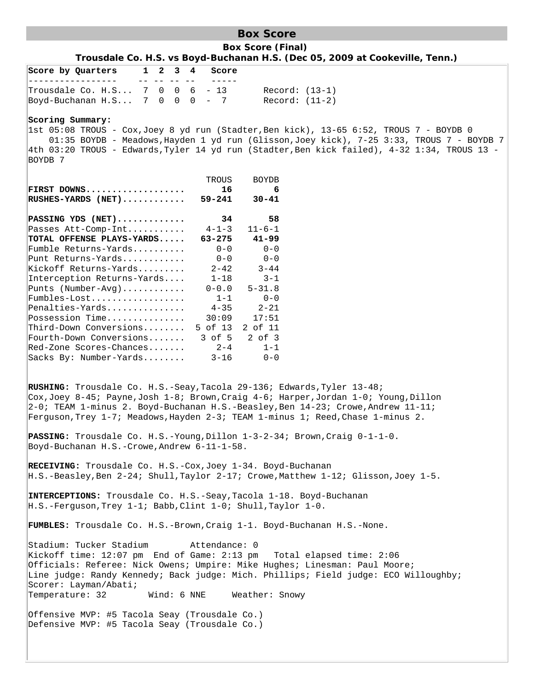# **Box Score**

**Box Score (Final) Trousdale Co. H.S. vs Boyd-Buchanan H.S. (Dec 05, 2009 at Cookeville, Tenn.)**

| Score by Quarters                                                                                                                                                                                                                                                                                                                                                              | $1\quad 2$  | $3 \quad 4$ | Score                                                                                                                                                                          |                                                                                                                                                                                                                                                                                                                                          |
|--------------------------------------------------------------------------------------------------------------------------------------------------------------------------------------------------------------------------------------------------------------------------------------------------------------------------------------------------------------------------------|-------------|-------------|--------------------------------------------------------------------------------------------------------------------------------------------------------------------------------|------------------------------------------------------------------------------------------------------------------------------------------------------------------------------------------------------------------------------------------------------------------------------------------------------------------------------------------|
| Trousdale Co. H.S $7 \t0 \t0 \t6 - 13$<br>Boyd-Buchanan H.S 7 0 0 0 - 7                                                                                                                                                                                                                                                                                                        |             |             |                                                                                                                                                                                | $Record: (13-1)$<br>$Record: (11-2)$                                                                                                                                                                                                                                                                                                     |
| Scoring Summary:<br>BOYDB 7                                                                                                                                                                                                                                                                                                                                                    |             |             |                                                                                                                                                                                | $\vert$ 1st 05:08 TROUS - Cox,Joey 8 yd run (Stadter,Ben kick), 13-65 6:52, TROUS 7 - BOYDB 0<br>01:35 BOYDB - Meadows, Hayden 1 yd run (Glisson, Joey kick), 7-25 3:33, TROUS 7 - BOYDB 7<br>4th 03:20 TROUS - Edwards, Tyler 14 yd run (Stadter, Ben kick failed), 4-32 1:34, TROUS 13 -                                               |
| FIRST DOWNS<br>$RUSHES-YARDS$ (NET)                                                                                                                                                                                                                                                                                                                                            |             |             | TROUS<br>16<br>$59 - 241$                                                                                                                                                      | <b>BOYDB</b><br>6<br>$30 - 41$                                                                                                                                                                                                                                                                                                           |
| PASSING YDS (NET)<br>Passes Att-Comp-Int<br>TOTAL OFFENSE PLAYS-YARDS<br>Fumble Returns-Yards<br>Punt Returns-Yards<br>Kickoff Returns-Yards<br>Interception Returns-Yards<br>Punts $(Number-Avg)$<br>Fumbles-Lost<br>Penalties-Yards<br>Possession Time<br>Third-Down Conversions<br>Fourth-Down Conversions<br>$\mathbb{R}$ ed-Zone Scores-Chances<br>Sacks By: Number-Yards |             |             | 34<br>$4 - 1 - 3$<br>$63 - 275$<br>$0 - 0$<br>$0 - 0$<br>$2 - 42$<br>$1 - 18$<br>$0 - 0.0$<br>$1 - 1$<br>$4 - 35$<br>30:09<br>5 of 13 2 of 11<br>3 of 5<br>$2 - 4$<br>$3 - 16$ | 58<br>$11 - 6 - 1$<br>$41 - 99$<br>$0 - 0$<br>$0 - 0$<br>$3 - 44$<br>$3 - 1$<br>$5 - 31.8$<br>$0 - 0$<br>$2 - 21$<br>17:51<br>$2$ of $3$<br>$1 - 1$<br>$0 - 0$                                                                                                                                                                           |
|                                                                                                                                                                                                                                                                                                                                                                                |             |             |                                                                                                                                                                                | RUSHING: Trousdale Co. H.S.-Seay, Tacola 29-136; Edwards, Tyler 13-48;<br>Cox, Joey 8-45; Payne, Josh 1-8; Brown, Craig 4-6; Harper, Jordan 1-0; Young, Dillon<br>$2-0$ ; TEAM 1-minus 2. Boyd-Buchanan H.S.-Beasley, Ben 14-23; Crowe, Andrew 11-11;<br>Ferguson, Trey 1-7; Meadows, Hayden 2-3; TEAM 1-minus 1; Reed, Chase 1-minus 2. |
| Boyd-Buchanan H.S.-Crowe, Andrew 6-11-1-58.                                                                                                                                                                                                                                                                                                                                    |             |             |                                                                                                                                                                                | PASSING: Trousdale Co. H.S.-Young, Dillon 1-3-2-34; Brown, Craig 0-1-1-0.                                                                                                                                                                                                                                                                |
| RECEIVING: Trousdale Co. H.S.-Cox, Joey 1-34. Boyd-Buchanan<br>$H.S.-Ferguson, Trey 1-1; Babb, Clint 1-0; Shull,Taylor 1-0.$                                                                                                                                                                                                                                                   |             |             |                                                                                                                                                                                | $H.S.-Beasley,Ben 2-24i Shull,Taylor 2-17i Crowe, Matthew 1-12i Glisson,Joey 1-5.$<br>INTERCEPTIONS: Trousdale Co. H.S.-Seay, Tacola 1-18. Boyd-Buchanan                                                                                                                                                                                 |
|                                                                                                                                                                                                                                                                                                                                                                                |             |             |                                                                                                                                                                                | FUMBLES: Trousdale Co. H.S.-Brown, Craig 1-1. Boyd-Buchanan H.S.-None.                                                                                                                                                                                                                                                                   |
| Stadium: Tucker Stadium<br>Scorer: Layman/Abati;<br>Temperature: 32                                                                                                                                                                                                                                                                                                            | Wind: 6 NNE |             | Attendance: 0                                                                                                                                                                  | Kickoff time: 12:07 pm End of Game: 2:13 pm Total elapsed time: 2:06<br>Officials: Referee: Nick Owens; Umpire: Mike Hughes; Linesman: Paul Moore;<br>Line judge: Randy Kennedy; Back judge: Mich. Phillips; Field judge: ECO Willoughby;<br>Weather: Snowy                                                                              |
| Offensive MVP: #5 Tacola Seay (Trousdale Co.)<br>Defensive MVP: #5 Tacola Seay (Trousdale Co.)                                                                                                                                                                                                                                                                                 |             |             |                                                                                                                                                                                |                                                                                                                                                                                                                                                                                                                                          |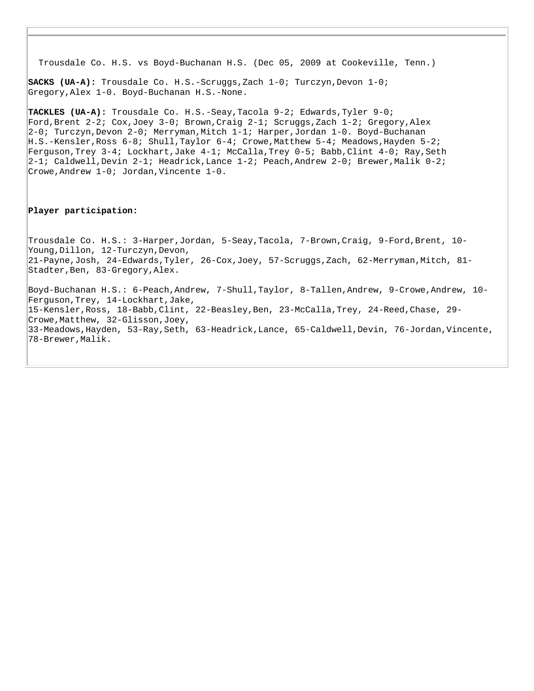Trousdale Co. H.S. vs Boyd-Buchanan H.S. (Dec 05, 2009 at Cookeville, Tenn.)

**SACKS (UA-A):** Trousdale Co. H.S.-Scruggs, Zach 1-0; Turczyn, Devon 1-0; Gregory,Alex 1-0. Boyd-Buchanan H.S.-None.

**TACKLES (UA-A):** Trousdale Co. H.S.-Seay,Tacola 9-2; Edwards,Tyler 9-0; Ford,Brent 2-2; Cox,Joey 3-0; Brown,Craig 2-1; Scruggs,Zach 1-2; Gregory,Alex 2-0; Turczyn,Devon 2-0; Merryman,Mitch 1-1; Harper,Jordan 1-0. Boyd-Buchanan H.S.-Kensler,Ross 6-8; Shull,Taylor 6-4; Crowe,Matthew 5-4; Meadows,Hayden 5-2; Ferguson,Trey 3-4; Lockhart,Jake 4-1; McCalla,Trey 0-5; Babb,Clint 4-0; Ray,Seth 2-1; Caldwell,Devin 2-1; Headrick,Lance 1-2; Peach,Andrew 2-0; Brewer,Malik 0-2; Crowe,Andrew 1-0; Jordan,Vincente 1-0.

#### **Player participation:**

Trousdale Co. H.S.: 3-Harper,Jordan, 5-Seay,Tacola, 7-Brown,Craig, 9-Ford,Brent, 10- Young,Dillon, 12-Turczyn,Devon, 21-Payne,Josh, 24-Edwards,Tyler, 26-Cox,Joey, 57-Scruggs,Zach, 62-Merryman,Mitch, 81- Stadter,Ben, 83-Gregory,Alex.

Boyd-Buchanan H.S.: 6-Peach,Andrew, 7-Shull,Taylor, 8-Tallen,Andrew, 9-Crowe,Andrew, 10- Ferguson,Trey, 14-Lockhart,Jake, 15-Kensler,Ross, 18-Babb,Clint, 22-Beasley,Ben, 23-McCalla,Trey, 24-Reed,Chase, 29- Crowe,Matthew, 32-Glisson,Joey, 33-Meadows,Hayden, 53-Ray,Seth, 63-Headrick,Lance, 65-Caldwell,Devin, 76-Jordan,Vincente, 78-Brewer,Malik.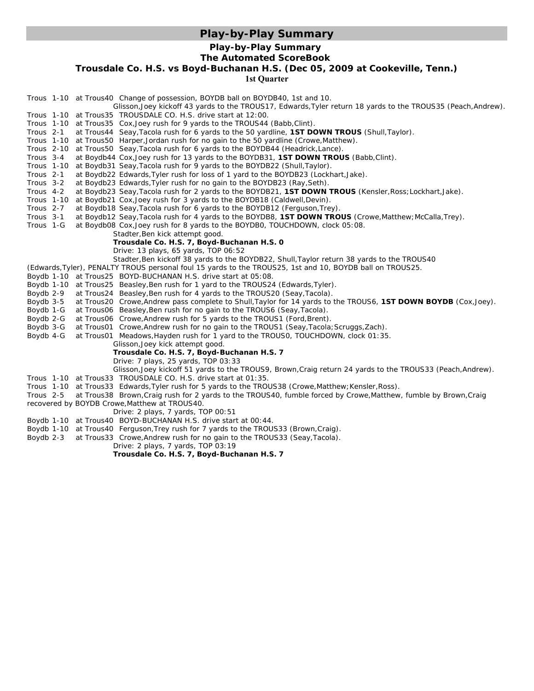# **Play-by-Play Summary**

#### **Play-by-Play Summary**

#### **The Automated ScoreBook**

**Trousdale Co. H.S. vs Boyd-Buchanan H.S. (Dec 05, 2009 at Cookeville, Tenn.)**

**1st Quarter**

| Trous 1-10 at Trous40 Change of possession, BOYDB ball on BOYDB40, 1st and 10.                                                                                                                                                                                    |
|-------------------------------------------------------------------------------------------------------------------------------------------------------------------------------------------------------------------------------------------------------------------|
| Glisson, Joey kickoff 43 yards to the TROUS17, Edwards, Tyler return 18 yards to the TROUS35 (Peach, Andrew).                                                                                                                                                     |
| Trous 1-10 at Trous35 TROUSDALE CO. H.S. drive start at 12:00.                                                                                                                                                                                                    |
| Trous 1-10 at Trous 35 Cox, Joey rush for 9 yards to the TROUS44 (Babb, Clint).                                                                                                                                                                                   |
| Trous 2-1<br>at Trous44 Seay, Tacola rush for 6 yards to the 50 yardline, 1ST DOWN TROUS (Shull, Taylor).                                                                                                                                                         |
| Trous 1-10 at Trous50 Harper, Jordan rush for no gain to the 50 yardline (Crowe, Matthew).                                                                                                                                                                        |
| Trous 2-10<br>at Trous50 Seay, Tacola rush for 6 yards to the BOYDB44 (Headrick, Lance).                                                                                                                                                                          |
| Trous 3-4<br>at Boydb44 Cox, Joey rush for 13 yards to the BOYDB31, 1ST DOWN TROUS (Babb, Clint).                                                                                                                                                                 |
| Trous 1-10<br>at Boydb31 Seay, Tacola rush for 9 yards to the BOYDB22 (Shull, Taylor).                                                                                                                                                                            |
| Trous 2-1<br>at Boydb22 Edwards, Tyler rush for loss of 1 yard to the BOYDB23 (Lockhart, Jake).                                                                                                                                                                   |
| Trous 3-2<br>at Boydb23 Edwards, Tyler rush for no gain to the BOYDB23 (Ray, Seth).                                                                                                                                                                               |
| Trous 4-2<br>at Boydb23 Seay, Tacola rush for 2 yards to the BOYDB21, 1ST DOWN TROUS (Kensler, Ross; Lockhart, Jake).                                                                                                                                             |
| <b>Trous 1-10</b><br>at Boydb21 Cox, Joey rush for 3 yards to the BOYDB18 (Caldwell, Devin).                                                                                                                                                                      |
| Trous 2-7<br>at Boydb18 Seay, Tacola rush for 6 yards to the BOYDB12 (Ferguson, Trey).                                                                                                                                                                            |
| Trous 3-1<br>at Boydb12 Seay, Tacola rush for 4 yards to the BOYDB8, 1ST DOWN TROUS (Crowe, Matthew; McCalla, Trey).                                                                                                                                              |
| Trous 1-G<br>at Boydb08 Cox, Joey rush for 8 yards to the BOYDB0, TOUCHDOWN, clock 05:08.                                                                                                                                                                         |
| Stadter, Ben kick attempt good.                                                                                                                                                                                                                                   |
| Trousdale Co. H.S. 7, Boyd-Buchanan H.S. 0                                                                                                                                                                                                                        |
| Drive: 13 plays, 65 yards, TOP 06:52                                                                                                                                                                                                                              |
| Stadter, Ben kickoff 38 yards to the BOYDB22, Shull, Taylor return 38 yards to the TROUS40                                                                                                                                                                        |
| (Edwards, Tyler), PENALTY TROUS personal foul 15 yards to the TROUS25, 1st and 10, BOYDB ball on TROUS25.                                                                                                                                                         |
| Boydb 1-10 at Trous25 BOYD-BUCHANAN H.S. drive start at 05:08.                                                                                                                                                                                                    |
| Boydb 1-10 at Trous25 Beasley, Ben rush for 1 yard to the TROUS24 (Edwards, Tyler).                                                                                                                                                                               |
| Boydb 2-9<br>at Trous24 Beasley, Ben rush for 4 yards to the TROUS20 (Seay, Tacola).                                                                                                                                                                              |
| Boydb 3-5<br>at Trous20 Crowe, Andrew pass complete to Shull, Taylor for 14 yards to the TROUS6, 1ST DOWN BOYDB (Cox, Joey).                                                                                                                                      |
| Boydb 1-G<br>at Trous06 Beasley, Ben rush for no gain to the TROUS6 (Seay, Tacola).                                                                                                                                                                               |
| Boydb 2-G<br>at Trous06 Crowe, Andrew rush for 5 yards to the TROUS1 (Ford, Brent).                                                                                                                                                                               |
| Boydb 3-G<br>at Trous01 Crowe, Andrew rush for no gain to the TROUS1 (Seay, Tacola; Scruggs, Zach).                                                                                                                                                               |
| Boydb 4-G<br>at Trous01 Meadows, Hayden rush for 1 yard to the TROUS0, TOUCHDOWN, clock 01:35.                                                                                                                                                                    |
| Glisson, Joey kick attempt good.                                                                                                                                                                                                                                  |
| Trousdale Co. H.S. 7, Boyd-Buchanan H.S. 7                                                                                                                                                                                                                        |
| Drive: 7 plays, 25 yards, TOP 03:33                                                                                                                                                                                                                               |
| Glisson, Joey kickoff 51 yards to the TROUS9, Brown, Craig return 24 yards to the TROUS33 (Peach, Andrew).<br>Trous 1-10 at Trous33 TROUSDALE CO. H.S. drive start at 01:35.                                                                                      |
| Trous 1-10 at Trous 33 Edwards, Tyler rush for 5 yards to the TROUS38 (Crowe, Matthew; Kensler, Ross).                                                                                                                                                            |
| at Trous38 Brown, Craig rush for 2 yards to the TROUS40, fumble forced by Crowe, Matthew, fumble by Brown, Craig<br>Trous 2-5                                                                                                                                     |
| recovered by BOYDB Crowe, Matthew at TROUS40.                                                                                                                                                                                                                     |
| Drive: 2 plays, 7 yards, TOP 00:51                                                                                                                                                                                                                                |
| Boydb 1-10 at Trous40 BOYD-BUCHANAN H.S. drive start at 00:44.                                                                                                                                                                                                    |
|                                                                                                                                                                                                                                                                   |
|                                                                                                                                                                                                                                                                   |
|                                                                                                                                                                                                                                                                   |
|                                                                                                                                                                                                                                                                   |
| Boydb 1-10 at Trous40 Ferguson, Trey rush for 7 yards to the TROUS33 (Brown, Craig).<br>Boydb 2-3<br>at Trous33 Crowe, Andrew rush for no gain to the TROUS33 (Seay, Tacola).<br>Drive: 2 plays, 7 yards, TOP 03:19<br>Trousdale Co. H.S. 7, Boyd-Buchanan H.S. 7 |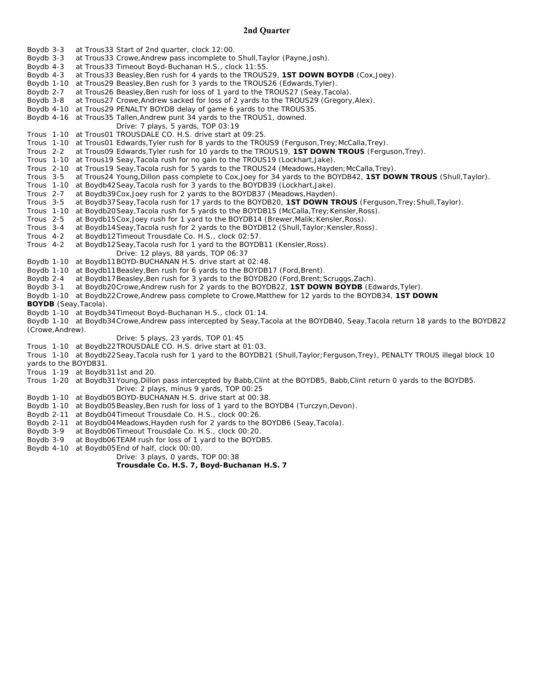#### **2nd Quarter**

Boydb 3-3 at Trous33 Start of 2nd quarter, clock 12:00. Boydb 3-3 at Trous33 Crowe,Andrew pass incomplete to Shull,Taylor (Payne,Josh). Boydb 4-3 at Trous33 Timeout Boyd-Buchanan H.S., clock 11:55. Boydb 4-3 at Trous33 Beasley,Ben rush for 4 yards to the TROUS29, **1ST DOWN BOYDB** (Cox,Joey). Boydb 1-10 at Trous29 Beasley,Ben rush for 3 yards to the TROUS26 (Edwards,Tyler). Boydb 2-7 at Trous26 Beasley,Ben rush for loss of 1 yard to the TROUS27 (Seay,Tacola). Boydb 3-8 at Trous27 Crowe,Andrew sacked for loss of 2 yards to the TROUS29 (Gregory,Alex). Boydb 4-10 at Trous29 *PENALTY BOYDB delay of game 6 yards to the TROUS35*. Boydb 4-16 at Trous35 Tallen,Andrew punt 34 yards to the TROUS1, downed. Drive: 7 plays, 5 yards, TOP 03:19 Trous 1-10 at Trous01 TROUSDALE CO. H.S. drive start at 09:25. Trous 1-10 at Trous01 Edwards,Tyler rush for 8 yards to the TROUS9 (Ferguson,Trey;McCalla,Trey). Trous 2-2 at Trous09 Edwards,Tyler rush for 10 yards to the TROUS19, **1ST DOWN TROUS** (Ferguson,Trey). Trous 1-10 at Trous19 Seay,Tacola rush for no gain to the TROUS19 (Lockhart,Jake). Trous 2-10 at Trous19 Seay,Tacola rush for 5 yards to the TROUS24 (Meadows,Hayden;McCalla,Trey). Trous 3-5 at Trous24 Young,Dillon pass complete to Cox,Joey for 34 yards to the BOYDB42, **1ST DOWN TROUS** (Shull,Taylor). Trous 1-10 at Boydb42Seay,Tacola rush for 3 yards to the BOYDB39 (Lockhart,Jake). Trous 2-7 at Boydb39Cox,Joey rush for 2 yards to the BOYDB37 (Meadows,Hayden). Trous 3-5 at Boydb37Seay,Tacola rush for 17 yards to the BOYDB20, **1ST DOWN TROUS** (Ferguson,Trey;Shull,Taylor). Trous 1-10 at Boydb20Seay,Tacola rush for 5 yards to the BOYDB15 (McCalla,Trey;Kensler,Ross). Trous 2-5 at Boydb15Cox, Joey rush for 1 yard to the BOYDB14 (Brewer, Malik; Kensler, Ross). Trous 3-4 at Boydb14Seay, Tacola rush for 2 yards to the BOYDB12 (Shull, Taylor; Kensler, Ross). Trous 4-2 at Boydb12Timeout Trousdale Co. H.S., clock 02:57. Trous 4-2 at Boydb12Seay,Tacola rush for 1 yard to the BOYDB11 (Kensler,Ross). Drive: 12 plays, 88 yards, TOP 06:37 Boydb 1-10 at Boydb11BOYD-BUCHANAN H.S. drive start at 02:48. Boydb 1-10 at Boydb11Beasley, Ben rush for 6 yards to the BOYDB17 (Ford, Brent). Boydb 2-4 at Boydb17Beasley,Ben rush for 3 yards to the BOYDB20 (Ford,Brent;Scruggs,Zach). Boydb 3-1 at Boydb20Crowe,Andrew rush for 2 yards to the BOYDB22, **1ST DOWN BOYDB** (Edwards,Tyler). Boydb 1-10 at Boydb22Crowe,Andrew pass complete to Crowe,Matthew for 12 yards to the BOYDB34, **1ST DOWN BOYDB** (Seay,Tacola). Boydb 1-10 at Boydb34Timeout Boyd-Buchanan H.S., clock 01:14. Boydb 1-10 at Boydb34Crowe,Andrew pass intercepted by Seay,Tacola at the BOYDB40, Seay,Tacola return 18 yards to the BOYDB22 (Crowe,Andrew). Drive: 5 plays, 23 yards, TOP 01:45 Trous 1-10 at Boydb22TROUSDALE CO. H.S. drive start at 01:03. Trous 1-10 at Boydb22Seay,Tacola rush for 1 yard to the BOYDB21 (Shull,Taylor;Ferguson,Trey), *PENALTY TROUS illegal block 10 yards to the BOYDB31*. Trous 1-19 at Boydb311st and 20. Trous 1-20 at Boydb31Young,Dillon pass intercepted by Babb,Clint at the BOYDB5, Babb,Clint return 0 yards to the BOYDB5. Drive: 2 plays, minus 9 yards, TOP 00:25 Boydb 1-10 at Boydb05BOYD-BUCHANAN H.S. drive start at 00:38. Boydb 1-10 at Boydb05Beasley,Ben rush for loss of 1 yard to the BOYDB4 (Turczyn,Devon). Boydb 2-11 at Boydb04Timeout Trousdale Co. H.S., clock 00:26. Boydb 2-11 at Boydb04Meadows,Hayden rush for 2 yards to the BOYDB6 (Seay,Tacola). Boydb 3-9 at Boydb06Timeout Trousdale Co. H.S., clock 00:20. Boydb 3-9 at Boydb06TEAM rush for loss of 1 yard to the BOYDB5.

Boydb 4-10 at Boydb05End of half, clock 00:00.

Drive: 3 plays, 0 yards, TOP 00:38

**Trousdale Co. H.S. 7, Boyd-Buchanan H.S. 7**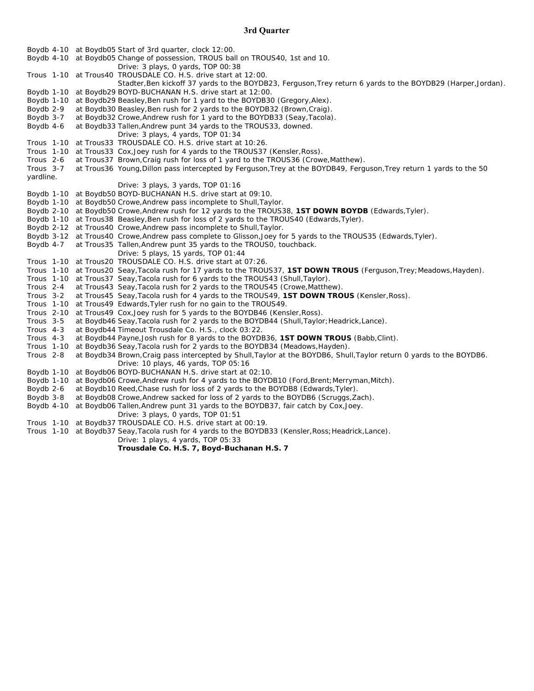### **3rd Quarter**

|                      |  | Boydb 4-10 at Boydb05 Start of 3rd quarter, clock 12:00.                                                               |
|----------------------|--|------------------------------------------------------------------------------------------------------------------------|
|                      |  | Boydb 4-10 at Boydb05 Change of possession, TROUS ball on TROUS40, 1st and 10.                                         |
|                      |  | Drive: 3 plays, 0 yards, TOP 00:38                                                                                     |
|                      |  | Trous 1-10 at Trous40 TROUSDALE CO. H.S. drive start at 12:00.                                                         |
|                      |  | Stadter, Ben kickoff 37 yards to the BOYDB23, Ferguson, Trey return 6 yards to the BOYDB29 (Harper, Jordan).           |
| Boydb 1-10           |  | at Boydb29 BOYD-BUCHANAN H.S. drive start at 12:00.                                                                    |
| Boydb 1-10           |  | at Boydb29 Beasley, Ben rush for 1 yard to the BOYDB30 (Gregory, Alex).                                                |
| Boydb 2-9            |  | at Boydb30 Beasley, Ben rush for 2 yards to the BOYDB32 (Brown, Craig).                                                |
| Boydb 3-7            |  | at Boydb32 Crowe, Andrew rush for 1 yard to the BOYDB33 (Seay, Tacola).                                                |
| Boydb 4-6            |  | at Boydb33 Tallen, Andrew punt 34 yards to the TROUS33, downed.                                                        |
|                      |  | Drive: $3$ plays, $4$ yards, TOP 01:34                                                                                 |
|                      |  | Trous 1-10 at Trous 33 TROUSDALE CO. H.S. drive start at 10:26.                                                        |
| Trous 1-10           |  | at Trous 33 Cox, Joey rush for 4 yards to the TROUS37 (Kensler, Ross).                                                 |
| Trous <sub>2-6</sub> |  | at Trous37 Brown, Craig rush for loss of 1 yard to the TROUS36 (Crowe, Matthew).                                       |
| Trous 3-7            |  | at Trous36 Young, Dillon pass intercepted by Ferguson, Trey at the BOYDB49, Ferguson, Trey return 1 yards to the 50    |
| yardline.            |  |                                                                                                                        |
|                      |  | Drive: 3 plays, 3 yards, TOP 01:16                                                                                     |
|                      |  | Boydb 1-10 at Boydb50 BOYD-BUCHANAN H.S. drive start at 09:10.                                                         |
|                      |  | Boydb 1-10 at Boydb50 Crowe, Andrew pass incomplete to Shull, Taylor.                                                  |
|                      |  | Boydb 2-10 at Boydb50 Crowe, Andrew rush for 12 yards to the TROUS38, 1ST DOWN BOYDB (Edwards, Tyler).                 |
|                      |  | Boydb 1-10 at Trous38 Beasley, Ben rush for loss of 2 yards to the TROUS40 (Edwards, Tyler).                           |
|                      |  | Boydb 2-12 at Trous40 Crowe, Andrew pass incomplete to Shull, Taylor.                                                  |
|                      |  | Boydb 3-12 at Trous40 Crowe, Andrew pass complete to Glisson, Joey for 5 yards to the TROUS35 (Edwards, Tyler).        |
| Boydb 4-7            |  | at Trous 35 Tallen, Andrew punt 35 yards to the TROUSO, touchback.                                                     |
|                      |  | Drive: 5 plays, 15 yards, TOP 01:44                                                                                    |
|                      |  | Trous 1-10 at Trous20 TROUSDALE CO. H.S. drive start at 07:26.                                                         |
|                      |  | Trous 1-10 at Trous20 Seay, Tacola rush for 17 yards to the TROUS37, 1ST DOWN TROUS (Ferguson, Trey; Meadows, Hayden). |
|                      |  | Trous 1-10 at Trous 37 Seay, Tacola rush for 6 yards to the TROUS43 (Shull, Taylor).                                   |
| Trous 2-4            |  | at Trous43 Seay, Tacola rush for 2 yards to the TROUS45 (Crowe, Matthew).                                              |
| Trous 3-2            |  | at Trous45 Seay, Tacola rush for 4 yards to the TROUS49, 1ST DOWN TROUS (Kensler, Ross).                               |
| Trous 1-10           |  | at Trous49 Edwards, Tyler rush for no gain to the TROUS49.                                                             |
| Trous 2-10           |  | at Trous49 Cox, Joey rush for 5 yards to the BOYDB46 (Kensler, Ross).                                                  |
| Trous 3-5            |  | at Boydb46 Seay, Tacola rush for 2 yards to the BOYDB44 (Shull, Taylor; Headrick, Lance).                              |
| Trous 4-3            |  | at Boydb44 Timeout Trousdale Co. H.S., clock 03:22.                                                                    |
| Trous 4-3            |  | at Boydb44 Payne, Josh rush for 8 yards to the BOYDB36, <b>1ST DOWN TROUS</b> (Babb, Clint).                           |
| Trous 1-10           |  | at Boydb36 Seay, Tacola rush for 2 yards to the BOYDB34 (Meadows, Hayden).                                             |
| Trous 2-8            |  | at Boydb34 Brown, Craig pass intercepted by Shull, Taylor at the BOYDB6, Shull, Taylor return 0 yards to the BOYDB6.   |
|                      |  | Drive: 10 plays, 46 yards, TOP 05:16                                                                                   |
| Boydb 1-10           |  | at Boydb06 BOYD-BUCHANAN H.S. drive start at 02:10.                                                                    |
| Boydb 1-10           |  | at Boydb06 Crowe, Andrew rush for 4 yards to the BOYDB10 (Ford, Brent; Merryman, Mitch).                               |
| Boydb 2-6            |  | at Boydb10 Reed, Chase rush for loss of 2 yards to the BOYDB8 (Edwards, Tyler).                                        |
| Boydb 3-8            |  | at Boydb08 Crowe, Andrew sacked for loss of 2 yards to the BOYDB6 (Scruggs, Zach).                                     |
| Boydb 4-10           |  | at Boydb06 Tallen, Andrew punt 31 yards to the BOYDB37, fair catch by Cox, Joey.                                       |
|                      |  | Drive: 3 plays, 0 yards, TOP 01:51                                                                                     |
|                      |  | Trous 1-10 at Boydb37 TROUSDALE CO. H.S. drive start at 00:19.                                                         |
|                      |  | Trous 1-10 at Boydb37 Seay, Tacola rush for 4 yards to the BOYDB33 (Kensler, Ross; Headrick, Lance).                   |
|                      |  | Drive: 1 plays, 4 yards, TOP $05:33$                                                                                   |
|                      |  | Trousdale Co. H.S. 7, Boyd-Buchanan H.S. 7                                                                             |